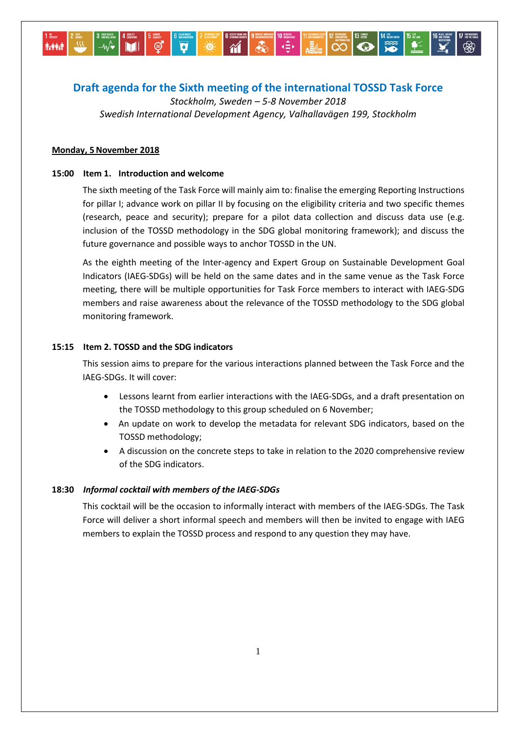# **Draft agenda for the Sixth meeting of the international TOSSD Task Force**

*Stockholm, Sweden – 5-8 November 2018 Swedish International Development Agency, Valhallavägen 199, Stockholm*

# **Monday, 5November 2018**

# **15:00 Item 1. Introduction and welcome**

The sixth meeting of the Task Force will mainly aim to: finalise the emerging Reporting Instructions for pillar I; advance work on pillar II by focusing on the eligibility criteria and two specific themes (research, peace and security); prepare for a pilot data collection and discuss data use (e.g. inclusion of the TOSSD methodology in the SDG global monitoring framework); and discuss the future governance and possible ways to anchor TOSSD in the UN.

As the eighth meeting of the Inter-agency and Expert Group on Sustainable Development Goal Indicators (IAEG-SDGs) will be held on the same dates and in the same venue as the Task Force meeting, there will be multiple opportunities for Task Force members to interact with IAEG-SDG members and raise awareness about the relevance of the TOSSD methodology to the SDG global monitoring framework.

# **15:15 Item 2. TOSSD and the SDG indicators**

This session aims to prepare for the various interactions planned between the Task Force and the IAEG-SDGs. It will cover:

- Lessons learnt from earlier interactions with the IAEG-SDGs, and a draft presentation on the TOSSD methodology to this group scheduled on 6 November;
- An update on work to develop the metadata for relevant SDG indicators, based on the TOSSD methodology;
- A discussion on the concrete steps to take in relation to the 2020 comprehensive review of the SDG indicators.

# **18:30** *Informal cocktail with members of the IAEG-SDGs*

This cocktail will be the occasion to informally interact with members of the IAEG-SDGs. The Task Force will deliver a short informal speech and members will then be invited to engage with IAEG members to explain the TOSSD process and respond to any question they may have.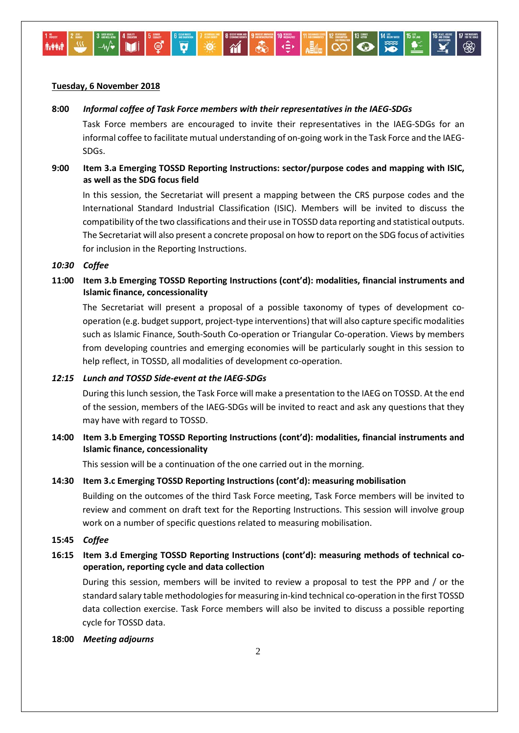## **Tuesday, 6 November 2018**

### **8:00** *Informal coffee of Task Force members with their representatives in the IAEG-SDGs*

Task Force members are encouraged to invite their representatives in the IAEG-SDGs for an informal coffee to facilitate mutual understanding of on-going work in the Task Force and the IAEG-SDGs.

# **9:00 Item 3.a Emerging TOSSD Reporting Instructions: sector/purpose codes and mapping with ISIC, as well as the SDG focus field**

In this session, the Secretariat will present a mapping between the CRS purpose codes and the International Standard Industrial Classification (ISIC). Members will be invited to discuss the compatibility of the two classifications and their use in TOSSD data reporting and statistical outputs. The Secretariat will also present a concrete proposal on how to report on the SDG focus of activities for inclusion in the Reporting Instructions.

#### *10:30 Coffee*

**11:00 Item 3.b Emerging TOSSD Reporting Instructions (cont'd): modalities, financial instruments and Islamic finance, concessionality** 

The Secretariat will present a proposal of a possible taxonomy of types of development cooperation (e.g. budget support, project-type interventions) that will also capture specific modalities such as Islamic Finance, South-South Co-operation or Triangular Co-operation. Views by members from developing countries and emerging economies will be particularly sought in this session to help reflect, in TOSSD, all modalities of development co-operation.

## *12:15 Lunch and TOSSD Side-event at the IAEG-SDGs*

During this lunch session, the Task Force will make a presentation to the IAEG on TOSSD. At the end of the session, members of the IAEG-SDGs will be invited to react and ask any questions that they may have with regard to TOSSD.

# **14:00 Item 3.b Emerging TOSSD Reporting Instructions (cont'd): modalities, financial instruments and Islamic finance, concessionality**

This session will be a continuation of the one carried out in the morning.

## **14:30 Item 3.c Emerging TOSSD Reporting Instructions (cont'd): measuring mobilisation**

Building on the outcomes of the third Task Force meeting, Task Force members will be invited to review and comment on draft text for the Reporting Instructions. This session will involve group work on a number of specific questions related to measuring mobilisation.

**15:45** *Coffee*

# **16:15 Item 3.d Emerging TOSSD Reporting Instructions (cont'd): measuring methods of technical cooperation, reporting cycle and data collection**

During this session, members will be invited to review a proposal to test the PPP and / or the standard salary table methodologiesfor measuring in-kind technical co-operation in the first TOSSD data collection exercise. Task Force members will also be invited to discuss a possible reporting cycle for TOSSD data.

#### **18:00** *Meeting adjourns*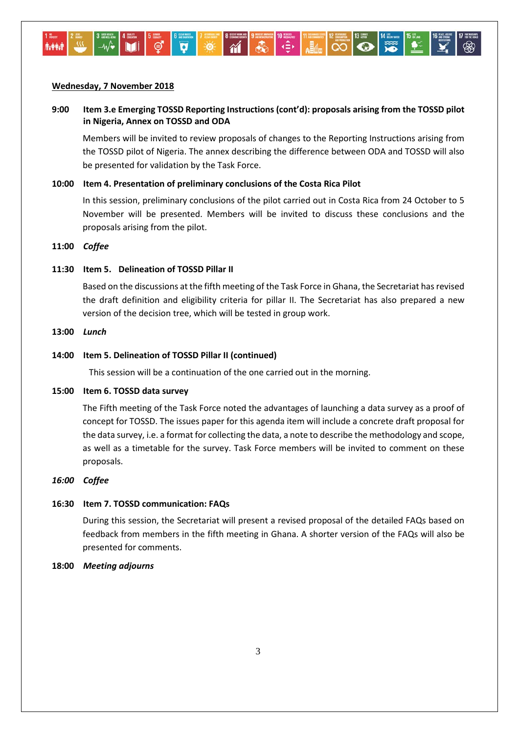## **Wednesday, 7 November 2018**

# **9:00 Item 3.e Emerging TOSSD Reporting Instructions (cont'd): proposals arising from the TOSSD pilot in Nigeria, Annex on TOSSD and ODA**

Members will be invited to review proposals of changes to the Reporting Instructions arising from the TOSSD pilot of Nigeria. The annex describing the difference between ODA and TOSSD will also be presented for validation by the Task Force.

## **10:00 Item 4. Presentation of preliminary conclusions of the Costa Rica Pilot**

In this session, preliminary conclusions of the pilot carried out in Costa Rica from 24 October to 5 November will be presented. Members will be invited to discuss these conclusions and the proposals arising from the pilot.

#### **11:00** *Coffee*

# **11:30 Item 5. Delineation of TOSSD Pillar II**

Based on the discussions at the fifth meeting of the Task Force in Ghana, the Secretariat has revised the draft definition and eligibility criteria for pillar II. The Secretariat has also prepared a new version of the decision tree, which will be tested in group work.

#### **13:00** *Lunch*

#### **14:00 Item 5. Delineation of TOSSD Pillar II (continued)**

This session will be a continuation of the one carried out in the morning.

#### **15:00 Item 6. TOSSD data survey**

The Fifth meeting of the Task Force noted the advantages of launching a data survey as a proof of concept for TOSSD. The issues paper for this agenda item will include a concrete draft proposal for the data survey, i.e. a format for collecting the data, a note to describe the methodology and scope, as well as a timetable for the survey. Task Force members will be invited to comment on these proposals.

## *16:00 Coffee*

### **16:30 Item 7. TOSSD communication: FAQs**

During this session, the Secretariat will present a revised proposal of the detailed FAQs based on feedback from members in the fifth meeting in Ghana. A shorter version of the FAQs will also be presented for comments.

#### **18:00** *Meeting adjourns*